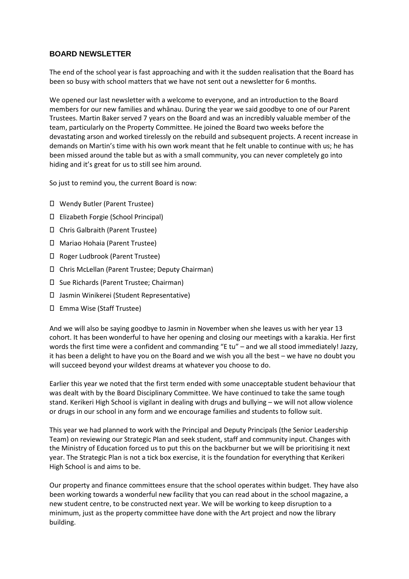## **BOARD NEWSLETTER**

The end of the school year is fast approaching and with it the sudden realisation that the Board has been so busy with school matters that we have not sent out a newsletter for 6 months.

We opened our last newsletter with a welcome to everyone, and an introduction to the Board members for our new families and whānau. During the year we said goodbye to one of our Parent Trustees. Martin Baker served 7 years on the Board and was an incredibly valuable member of the team, particularly on the Property Committee. He joined the Board two weeks before the devastating arson and worked tirelessly on the rebuild and subsequent projects. A recent increase in demands on Martin's time with his own work meant that he felt unable to continue with us; he has been missed around the table but as with a small community, you can never completely go into hiding and it's great for us to still see him around.

So just to remind you, the current Board is now:

- Wendy Butler (Parent Trustee)
- Elizabeth Forgie (School Principal)
- Chris Galbraith (Parent Trustee)
- Mariao Hohaia (Parent Trustee)
- Roger Ludbrook (Parent Trustee)
- Chris McLellan (Parent Trustee; Deputy Chairman)
- Sue Richards (Parent Trustee; Chairman)
- Jasmin Winikerei (Student Representative)
- Emma Wise (Staff Trustee)

And we will also be saying goodbye to Jasmin in November when she leaves us with her year 13 cohort. It has been wonderful to have her opening and closing our meetings with a karakia. Her first words the first time were a confident and commanding "E tu" – and we all stood immediately! Jazzy, it has been a delight to have you on the Board and we wish you all the best – we have no doubt you will succeed beyond your wildest dreams at whatever you choose to do.

Earlier this year we noted that the first term ended with some unacceptable student behaviour that was dealt with by the Board Disciplinary Committee. We have continued to take the same tough stand. Kerikeri High School is vigilant in dealing with drugs and bullying – we will not allow violence or drugs in our school in any form and we encourage families and students to follow suit.

This year we had planned to work with the Principal and Deputy Principals (the Senior Leadership Team) on reviewing our Strategic Plan and seek student, staff and community input. Changes with the Ministry of Education forced us to put this on the backburner but we will be prioritising it next year. The Strategic Plan is not a tick box exercise, it is the foundation for everything that Kerikeri High School is and aims to be.

Our property and finance committees ensure that the school operates within budget. They have also been working towards a wonderful new facility that you can read about in the school magazine, a new student centre, to be constructed next year. We will be working to keep disruption to a minimum, just as the property committee have done with the Art project and now the library building.